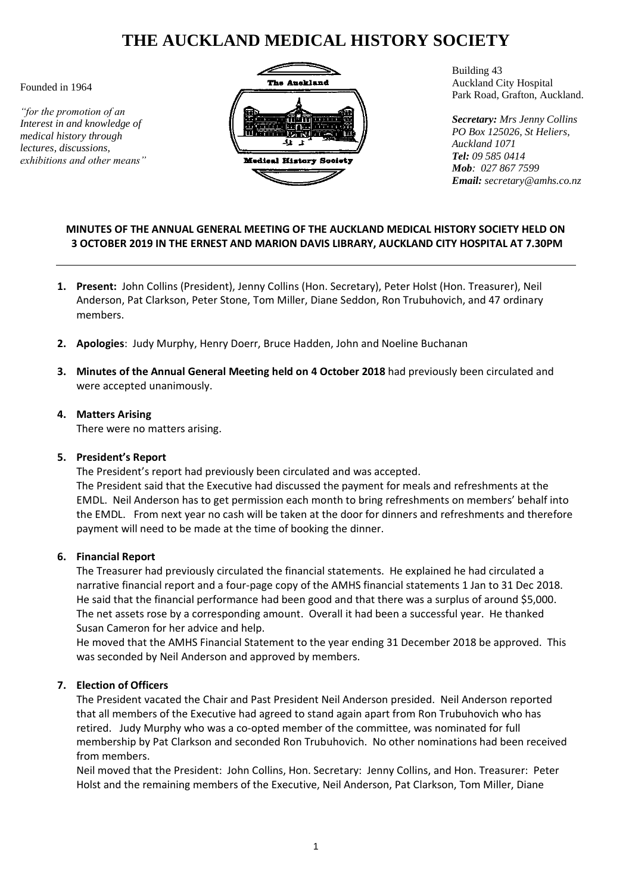# **THE AUCKLAND MEDICAL HISTORY SOCIETY**

Founded in 1964

*"for the promotion of an Interest in and knowledge of medical history through lectures, discussions, exhibitions and other means"*



Building 43 Auckland City Hospital Park Road, Grafton, Auckland.

*Secretary: Mrs Jenny Collins PO Box 125026, St Heliers, Auckland 1071 Tel: 09 585 0414 Mob: 027 867 7599 Email: secretary@amhs.co.nz*

# **MINUTES OF THE ANNUAL GENERAL MEETING OF THE AUCKLAND MEDICAL HISTORY SOCIETY HELD ON 3 OCTOBER 2019 IN THE ERNEST AND MARION DAVIS LIBRARY, AUCKLAND CITY HOSPITAL AT 7.30PM**

- **1. Present:** John Collins (President), Jenny Collins (Hon. Secretary), Peter Holst (Hon. Treasurer), Neil Anderson, Pat Clarkson, Peter Stone, Tom Miller, Diane Seddon, Ron Trubuhovich, and 47 ordinary members.
- **2. Apologies**: Judy Murphy, Henry Doerr, Bruce Hadden, John and Noeline Buchanan
- **3. Minutes of the Annual General Meeting held on 4 October 2018** had previously been circulated and were accepted unanimously.
- **4. Matters Arising** There were no matters arising.

#### **5. President's Report**

The President's report had previously been circulated and was accepted. The President said that the Executive had discussed the payment for meals and refreshments at the EMDL. Neil Anderson has to get permission each month to bring refreshments on members' behalf into the EMDL. From next year no cash will be taken at the door for dinners and refreshments and therefore payment will need to be made at the time of booking the dinner.

#### **6. Financial Report**

The Treasurer had previously circulated the financial statements. He explained he had circulated a narrative financial report and a four-page copy of the AMHS financial statements 1 Jan to 31 Dec 2018. He said that the financial performance had been good and that there was a surplus of around \$5,000. The net assets rose by a corresponding amount. Overall it had been a successful year. He thanked Susan Cameron for her advice and help.

He moved that the AMHS Financial Statement to the year ending 31 December 2018 be approved. This was seconded by Neil Anderson and approved by members.

## **7. Election of Officers**

The President vacated the Chair and Past President Neil Anderson presided. Neil Anderson reported that all members of the Executive had agreed to stand again apart from Ron Trubuhovich who has retired. Judy Murphy who was a co-opted member of the committee, was nominated for full membership by Pat Clarkson and seconded Ron Trubuhovich. No other nominations had been received from members.

Neil moved that the President: John Collins, Hon. Secretary: Jenny Collins, and Hon. Treasurer: Peter Holst and the remaining members of the Executive, Neil Anderson, Pat Clarkson, Tom Miller, Diane